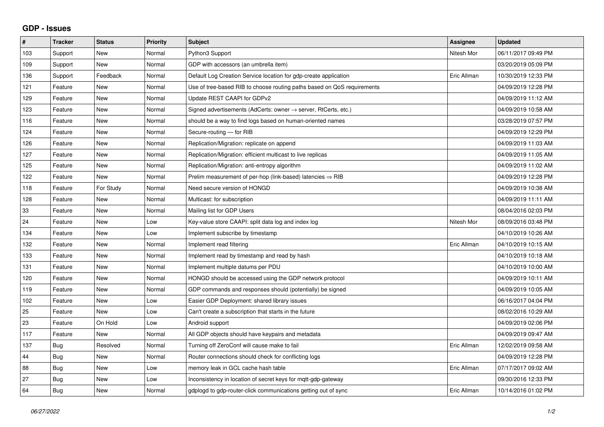## **GDP - Issues**

| #   | <b>Tracker</b> | <b>Status</b> | <b>Priority</b> | <b>Subject</b>                                                             | Assignee    | <b>Updated</b>      |
|-----|----------------|---------------|-----------------|----------------------------------------------------------------------------|-------------|---------------------|
| 103 | Support        | <b>New</b>    | Normal          | Python3 Support                                                            | Nitesh Mor  | 06/11/2017 09:49 PM |
| 109 | Support        | <b>New</b>    | Normal          | GDP with accessors (an umbrella item)                                      |             | 03/20/2019 05:09 PM |
| 136 | Support        | Feedback      | Normal          | Default Log Creation Service location for gdp-create application           | Eric Allman | 10/30/2019 12:33 PM |
| 121 | Feature        | <b>New</b>    | Normal          | Use of tree-based RIB to choose routing paths based on QoS requirements    |             | 04/09/2019 12:28 PM |
| 129 | Feature        | <b>New</b>    | Normal          | Update REST CAAPI for GDPv2                                                |             | 04/09/2019 11:12 AM |
| 123 | Feature        | <b>New</b>    | Normal          | Signed advertisements (AdCerts: owner $\rightarrow$ server, RtCerts, etc.) |             | 04/09/2019 10:58 AM |
| 116 | Feature        | <b>New</b>    | Normal          | should be a way to find logs based on human-oriented names                 |             | 03/28/2019 07:57 PM |
| 124 | Feature        | <b>New</b>    | Normal          | Secure-routing - for RIB                                                   |             | 04/09/2019 12:29 PM |
| 126 | Feature        | <b>New</b>    | Normal          | Replication/Migration: replicate on append                                 |             | 04/09/2019 11:03 AM |
| 127 | Feature        | <b>New</b>    | Normal          | Replication/Migration: efficient multicast to live replicas                |             | 04/09/2019 11:05 AM |
| 125 | Feature        | <b>New</b>    | Normal          | Replication/Migration: anti-entropy algorithm                              |             | 04/09/2019 11:02 AM |
| 122 | Feature        | <b>New</b>    | Normal          | Prelim measurement of per-hop (link-based) latencies $\Rightarrow$ RIB     |             | 04/09/2019 12:28 PM |
| 118 | Feature        | For Study     | Normal          | Need secure version of HONGD                                               |             | 04/09/2019 10:38 AM |
| 128 | Feature        | <b>New</b>    | Normal          | Multicast: for subscription                                                |             | 04/09/2019 11:11 AM |
| 33  | Feature        | <b>New</b>    | Normal          | Mailing list for GDP Users                                                 |             | 08/04/2016 02:03 PM |
| 24  | Feature        | <b>New</b>    | Low             | Key-value store CAAPI: split data log and index log                        | Nitesh Mor  | 08/09/2016 03:48 PM |
| 134 | Feature        | <b>New</b>    | Low             | Implement subscribe by timestamp                                           |             | 04/10/2019 10:26 AM |
| 132 | Feature        | <b>New</b>    | Normal          | Implement read filtering                                                   | Eric Allman | 04/10/2019 10:15 AM |
| 133 | Feature        | <b>New</b>    | Normal          | Implement read by timestamp and read by hash                               |             | 04/10/2019 10:18 AM |
| 131 | Feature        | <b>New</b>    | Normal          | Implement multiple datums per PDU                                          |             | 04/10/2019 10:00 AM |
| 120 | Feature        | New           | Normal          | HONGD should be accessed using the GDP network protocol                    |             | 04/09/2019 10:11 AM |
| 119 | Feature        | <b>New</b>    | Normal          | GDP commands and responses should (potentially) be signed                  |             | 04/09/2019 10:05 AM |
| 102 | Feature        | <b>New</b>    | Low             | Easier GDP Deployment: shared library issues                               |             | 06/16/2017 04:04 PM |
| 25  | Feature        | <b>New</b>    | Low             | Can't create a subscription that starts in the future                      |             | 08/02/2016 10:29 AM |
| 23  | Feature        | On Hold       | Low             | Android support                                                            |             | 04/09/2019 02:06 PM |
| 117 | Feature        | <b>New</b>    | Normal          | All GDP objects should have keypairs and metadata                          |             | 04/09/2019 09:47 AM |
| 137 | <b>Bug</b>     | Resolved      | Normal          | Turning off ZeroConf will cause make to fail                               | Eric Allman | 12/02/2019 09:58 AM |
| 44  | Bug            | <b>New</b>    | Normal          | Router connections should check for conflicting logs                       |             | 04/09/2019 12:28 PM |
| 88  | <b>Bug</b>     | <b>New</b>    | Low             | memory leak in GCL cache hash table                                        | Eric Allman | 07/17/2017 09:02 AM |
| 27  | Bug            | <b>New</b>    | Low             | Inconsistency in location of secret keys for mgtt-gdp-gateway              |             | 09/30/2016 12:33 PM |
| 64  | Bug            | New           | Normal          | gdplogd to gdp-router-click communications getting out of sync             | Eric Allman | 10/14/2016 01:02 PM |